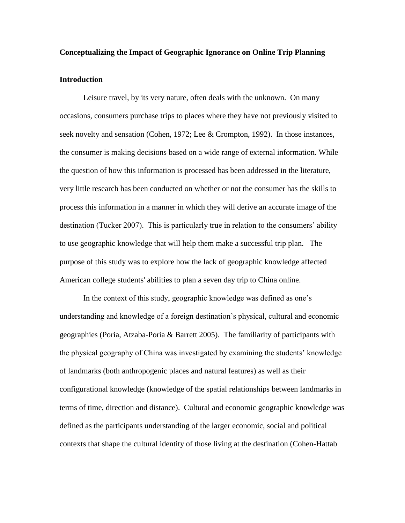#### **Conceptualizing the Impact of Geographic Ignorance on Online Trip Planning**

# **Introduction**

Leisure travel, by its very nature, often deals with the unknown. On many occasions, consumers purchase trips to places where they have not previously visited to seek novelty and sensation (Cohen, 1972; Lee & Crompton, 1992). In those instances, the consumer is making decisions based on a wide range of external information. While the question of how this information is processed has been addressed in the literature, very little research has been conducted on whether or not the consumer has the skills to process this information in a manner in which they will derive an accurate image of the destination (Tucker 2007). This is particularly true in relation to the consumers' ability to use geographic knowledge that will help them make a successful trip plan. The purpose of this study was to explore how the lack of geographic knowledge affected American college students' abilities to plan a seven day trip to China online.

In the context of this study, geographic knowledge was defined as one"s understanding and knowledge of a foreign destination"s physical, cultural and economic geographies (Poria, Atzaba-Poria & Barrett 2005). The familiarity of participants with the physical geography of China was investigated by examining the students" knowledge of landmarks (both anthropogenic places and natural features) as well as their configurational knowledge (knowledge of the spatial relationships between landmarks in terms of time, direction and distance). Cultural and economic geographic knowledge was defined as the participants understanding of the larger economic, social and political contexts that shape the cultural identity of those living at the destination (Cohen-Hattab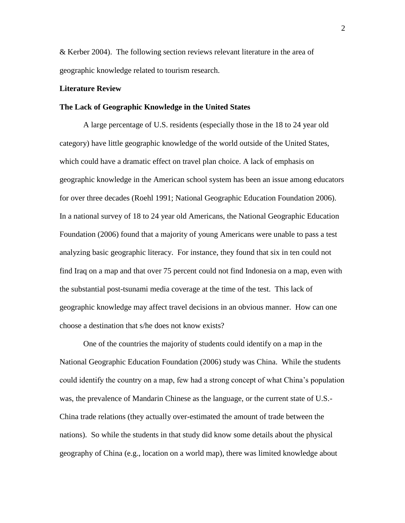& Kerber 2004). The following section reviews relevant literature in the area of geographic knowledge related to tourism research.

## **Literature Review**

## **The Lack of Geographic Knowledge in the United States**

A large percentage of U.S. residents (especially those in the 18 to 24 year old category) have little geographic knowledge of the world outside of the United States, which could have a dramatic effect on travel plan choice. A lack of emphasis on geographic knowledge in the American school system has been an issue among educators for over three decades (Roehl 1991; National Geographic Education Foundation 2006). In a national survey of 18 to 24 year old Americans, the National Geographic Education Foundation (2006) found that a majority of young Americans were unable to pass a test analyzing basic geographic literacy. For instance, they found that six in ten could not find Iraq on a map and that over 75 percent could not find Indonesia on a map, even with the substantial post-tsunami media coverage at the time of the test. This lack of geographic knowledge may affect travel decisions in an obvious manner. How can one choose a destination that s/he does not know exists?

One of the countries the majority of students could identify on a map in the National Geographic Education Foundation (2006) study was China. While the students could identify the country on a map, few had a strong concept of what China"s population was, the prevalence of Mandarin Chinese as the language, or the current state of U.S.- China trade relations (they actually over-estimated the amount of trade between the nations). So while the students in that study did know some details about the physical geography of China (e.g., location on a world map), there was limited knowledge about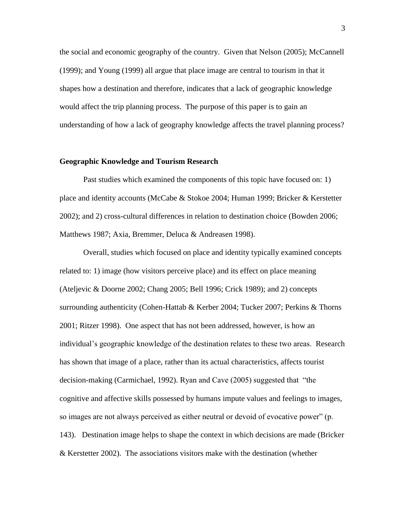the social and economic geography of the country. Given that Nelson (2005); McCannell (1999); and Young (1999) all argue that place image are central to tourism in that it shapes how a destination and therefore, indicates that a lack of geographic knowledge would affect the trip planning process. The purpose of this paper is to gain an understanding of how a lack of geography knowledge affects the travel planning process?

#### **Geographic Knowledge and Tourism Research**

Past studies which examined the components of this topic have focused on: 1) place and identity accounts (McCabe & Stokoe 2004; Human 1999; Bricker & Kerstetter 2002); and 2) cross-cultural differences in relation to destination choice (Bowden 2006; Matthews 1987; Axia, Bremmer, Deluca & Andreasen 1998).

Overall, studies which focused on place and identity typically examined concepts related to: 1) image (how visitors perceive place) and its effect on place meaning (Ateljevic & Doorne 2002; Chang 2005; Bell 1996; Crick 1989); and 2) concepts surrounding authenticity (Cohen-Hattab & Kerber 2004; Tucker 2007; Perkins & Thorns 2001; Ritzer 1998). One aspect that has not been addressed, however, is how an individual"s geographic knowledge of the destination relates to these two areas. Research has shown that image of a place, rather than its actual characteristics, affects tourist decision-making (Carmichael, 1992). Ryan and Cave (2005) suggested that "the cognitive and affective skills possessed by humans impute values and feelings to images, so images are not always perceived as either neutral or devoid of evocative power" (p. 143). Destination image helps to shape the context in which decisions are made (Bricker & Kerstetter 2002). The associations visitors make with the destination (whether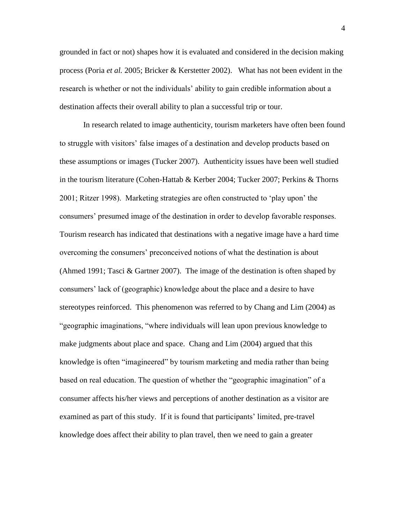grounded in fact or not) shapes how it is evaluated and considered in the decision making process (Poria *et al.* 2005; Bricker & Kerstetter 2002). What has not been evident in the research is whether or not the individuals" ability to gain credible information about a destination affects their overall ability to plan a successful trip or tour.

In research related to image authenticity, tourism marketers have often been found to struggle with visitors" false images of a destination and develop products based on these assumptions or images (Tucker 2007). Authenticity issues have been well studied in the tourism literature (Cohen-Hattab & Kerber 2004; Tucker 2007; Perkins & Thorns 2001; Ritzer 1998). Marketing strategies are often constructed to "play upon" the consumers" presumed image of the destination in order to develop favorable responses. Tourism research has indicated that destinations with a negative image have a hard time overcoming the consumers" preconceived notions of what the destination is about (Ahmed 1991; Tasci & Gartner 2007). The image of the destination is often shaped by consumers" lack of (geographic) knowledge about the place and a desire to have stereotypes reinforced. This phenomenon was referred to by Chang and Lim (2004) as "geographic imaginations, "where individuals will lean upon previous knowledge to make judgments about place and space. Chang and Lim (2004) argued that this knowledge is often "imagineered" by tourism marketing and media rather than being based on real education. The question of whether the "geographic imagination" of a consumer affects his/her views and perceptions of another destination as a visitor are examined as part of this study. If it is found that participants" limited, pre-travel knowledge does affect their ability to plan travel, then we need to gain a greater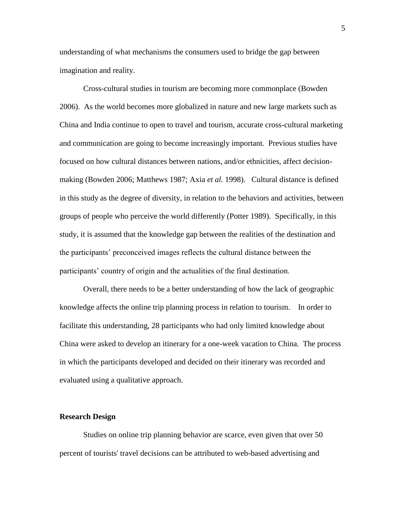understanding of what mechanisms the consumers used to bridge the gap between imagination and reality.

Cross-cultural studies in tourism are becoming more commonplace (Bowden 2006). As the world becomes more globalized in nature and new large markets such as China and India continue to open to travel and tourism, accurate cross-cultural marketing and communication are going to become increasingly important. Previous studies have focused on how cultural distances between nations, and/or ethnicities, affect decisionmaking (Bowden 2006; Matthews 1987; Axia *et al.* 1998). Cultural distance is defined in this study as the degree of diversity, in relation to the behaviors and activities, between groups of people who perceive the world differently (Potter 1989). Specifically, in this study, it is assumed that the knowledge gap between the realities of the destination and the participants" preconceived images reflects the cultural distance between the participants' country of origin and the actualities of the final destination.

Overall, there needs to be a better understanding of how the lack of geographic knowledge affects the online trip planning process in relation to tourism. In order to facilitate this understanding, 28 participants who had only limited knowledge about China were asked to develop an itinerary for a one-week vacation to China. The process in which the participants developed and decided on their itinerary was recorded and evaluated using a qualitative approach.

#### **Research Design**

Studies on online trip planning behavior are scarce, even given that over 50 percent of tourists' travel decisions can be attributed to web-based advertising and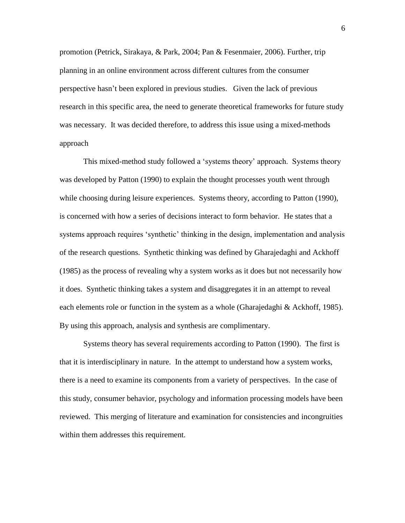promotion (Petrick, Sirakaya, & Park, 2004; Pan & Fesenmaier, 2006). Further, trip planning in an online environment across different cultures from the consumer perspective hasn"t been explored in previous studies. Given the lack of previous research in this specific area, the need to generate theoretical frameworks for future study was necessary. It was decided therefore, to address this issue using a mixed-methods approach

This mixed-method study followed a "systems theory" approach. Systems theory was developed by Patton (1990) to explain the thought processes youth went through while choosing during leisure experiences. Systems theory, according to Patton (1990), is concerned with how a series of decisions interact to form behavior. He states that a systems approach requires 'synthetic' thinking in the design, implementation and analysis of the research questions. Synthetic thinking was defined by Gharajedaghi and Ackhoff (1985) as the process of revealing why a system works as it does but not necessarily how it does. Synthetic thinking takes a system and disaggregates it in an attempt to reveal each elements role or function in the system as a whole (Gharajedaghi & Ackhoff, 1985). By using this approach, analysis and synthesis are complimentary.

Systems theory has several requirements according to Patton (1990). The first is that it is interdisciplinary in nature. In the attempt to understand how a system works, there is a need to examine its components from a variety of perspectives. In the case of this study, consumer behavior, psychology and information processing models have been reviewed. This merging of literature and examination for consistencies and incongruities within them addresses this requirement.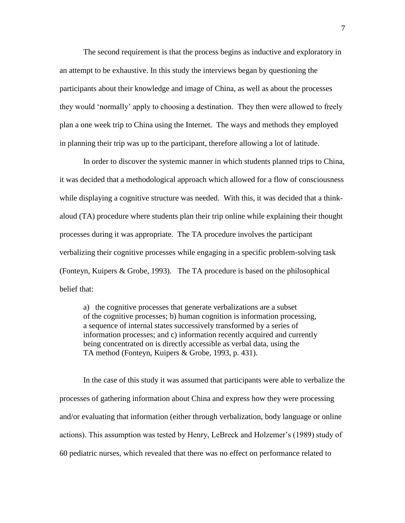The second requirement is that the process begins as inductive and exploratory in an attempt to be exhaustive. In this study the interviews began by questioning the participants about their knowledge and image of China, as well as about the processes they would "normally" apply to choosing a destination. They then were allowed to freely plan a one week trip to China using the Internet. The ways and methods they employed in planning their trip was up to the participant, therefore allowing a lot of latitude.

In order to discover the systemic manner in which students planned trips to China, it was decided that a methodological approach which allowed for a flow of consciousness while displaying a cognitive structure was needed. With this, it was decided that a thinkaloud (TA) procedure where students plan their trip online while explaining their thought processes during it was appropriate. The TA procedure involves the participant verbalizing their cognitive processes while engaging in a specific problem-solving task (Fonteyn, Kuipers & Grobe, 1993). The TA procedure is based on the philosophical belief that:

a) the cognitive processes that generate verbalizations are a subset of the cognitive processes; b) human cognition is information processing, a sequence of internal states successively transformed by a series of information processes; and c) information recently acquired and currently being concentrated on is directly accessible as verbal data, using the TA method (Fonteyn, Kuipers & Grobe, 1993, p. 431).

In the case of this study it was assumed that participants were able to verbalize the processes of gathering information about China and express how they were processing and/or evaluating that information (either through verbalization, body language or online actions). This assumption was tested by Henry, LeBreck and Holzemer"s (1989) study of 60 pediatric nurses, which revealed that there was no effect on performance related to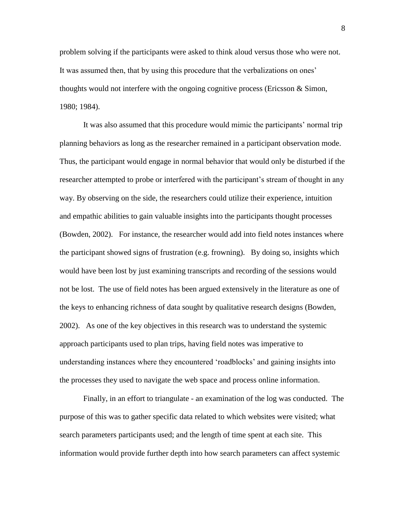problem solving if the participants were asked to think aloud versus those who were not. It was assumed then, that by using this procedure that the verbalizations on ones' thoughts would not interfere with the ongoing cognitive process (Ericsson  $\&$  Simon, 1980; 1984).

It was also assumed that this procedure would mimic the participants" normal trip planning behaviors as long as the researcher remained in a participant observation mode. Thus, the participant would engage in normal behavior that would only be disturbed if the researcher attempted to probe or interfered with the participant"s stream of thought in any way. By observing on the side, the researchers could utilize their experience, intuition and empathic abilities to gain valuable insights into the participants thought processes (Bowden, 2002). For instance, the researcher would add into field notes instances where the participant showed signs of frustration (e.g. frowning). By doing so, insights which would have been lost by just examining transcripts and recording of the sessions would not be lost. The use of field notes has been argued extensively in the literature as one of the keys to enhancing richness of data sought by qualitative research designs (Bowden, 2002). As one of the key objectives in this research was to understand the systemic approach participants used to plan trips, having field notes was imperative to understanding instances where they encountered "roadblocks" and gaining insights into the processes they used to navigate the web space and process online information.

Finally, in an effort to triangulate - an examination of the log was conducted. The purpose of this was to gather specific data related to which websites were visited; what search parameters participants used; and the length of time spent at each site. This information would provide further depth into how search parameters can affect systemic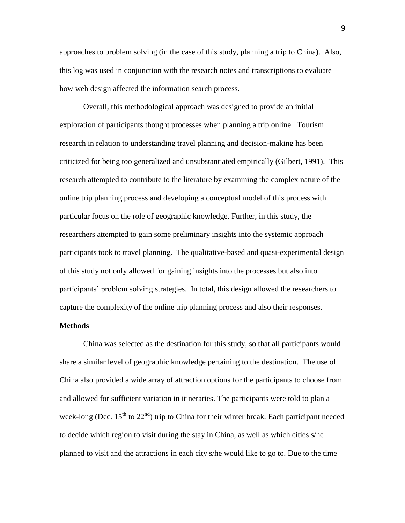approaches to problem solving (in the case of this study, planning a trip to China). Also, this log was used in conjunction with the research notes and transcriptions to evaluate how web design affected the information search process.

Overall, this methodological approach was designed to provide an initial exploration of participants thought processes when planning a trip online. Tourism research in relation to understanding travel planning and decision-making has been criticized for being too generalized and unsubstantiated empirically (Gilbert, 1991). This research attempted to contribute to the literature by examining the complex nature of the online trip planning process and developing a conceptual model of this process with particular focus on the role of geographic knowledge. Further, in this study, the researchers attempted to gain some preliminary insights into the systemic approach participants took to travel planning. The qualitative-based and quasi-experimental design of this study not only allowed for gaining insights into the processes but also into participants" problem solving strategies. In total, this design allowed the researchers to capture the complexity of the online trip planning process and also their responses.

# **Methods**

China was selected as the destination for this study, so that all participants would share a similar level of geographic knowledge pertaining to the destination. The use of China also provided a wide array of attraction options for the participants to choose from and allowed for sufficient variation in itineraries. The participants were told to plan a week-long (Dec.  $15<sup>th</sup>$  to  $22<sup>nd</sup>$ ) trip to China for their winter break. Each participant needed to decide which region to visit during the stay in China, as well as which cities s/he planned to visit and the attractions in each city s/he would like to go to. Due to the time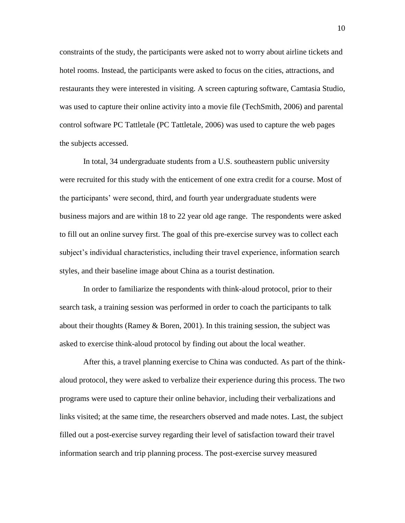constraints of the study, the participants were asked not to worry about airline tickets and hotel rooms. Instead, the participants were asked to focus on the cities, attractions, and restaurants they were interested in visiting. A screen capturing software, Camtasia Studio, was used to capture their online activity into a movie file (TechSmith, 2006) and parental control software PC Tattletale (PC Tattletale, 2006) was used to capture the web pages the subjects accessed.

In total, 34 undergraduate students from a U.S. southeastern public university were recruited for this study with the enticement of one extra credit for a course. Most of the participants" were second, third, and fourth year undergraduate students were business majors and are within 18 to 22 year old age range. The respondents were asked to fill out an online survey first. The goal of this pre-exercise survey was to collect each subject's individual characteristics, including their travel experience, information search styles, and their baseline image about China as a tourist destination.

In order to familiarize the respondents with think-aloud protocol, prior to their search task, a training session was performed in order to coach the participants to talk about their thoughts (Ramey & Boren, 2001). In this training session, the subject was asked to exercise think-aloud protocol by finding out about the local weather.

After this, a travel planning exercise to China was conducted. As part of the thinkaloud protocol, they were asked to verbalize their experience during this process. The two programs were used to capture their online behavior, including their verbalizations and links visited; at the same time, the researchers observed and made notes. Last, the subject filled out a post-exercise survey regarding their level of satisfaction toward their travel information search and trip planning process. The post-exercise survey measured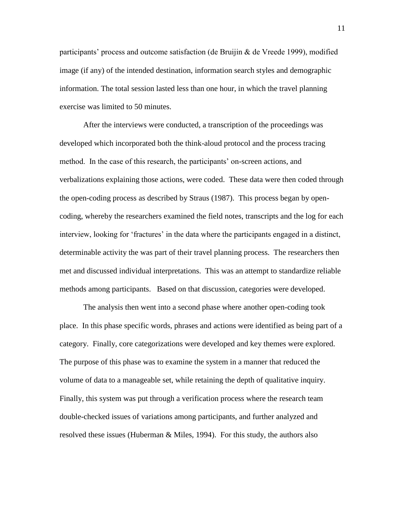participants' process and outcome satisfaction (de Bruijin  $\&$  de Vreede 1999), modified image (if any) of the intended destination, information search styles and demographic information. The total session lasted less than one hour, in which the travel planning exercise was limited to 50 minutes.

After the interviews were conducted, a transcription of the proceedings was developed which incorporated both the think-aloud protocol and the process tracing method. In the case of this research, the participants' on-screen actions, and verbalizations explaining those actions, were coded. These data were then coded through the open-coding process as described by Straus (1987). This process began by opencoding, whereby the researchers examined the field notes, transcripts and the log for each interview, looking for 'fractures' in the data where the participants engaged in a distinct, determinable activity the was part of their travel planning process. The researchers then met and discussed individual interpretations. This was an attempt to standardize reliable methods among participants. Based on that discussion, categories were developed.

The analysis then went into a second phase where another open-coding took place. In this phase specific words, phrases and actions were identified as being part of a category. Finally, core categorizations were developed and key themes were explored. The purpose of this phase was to examine the system in a manner that reduced the volume of data to a manageable set, while retaining the depth of qualitative inquiry. Finally, this system was put through a verification process where the research team double-checked issues of variations among participants, and further analyzed and resolved these issues (Huberman  $\&$  Miles, 1994). For this study, the authors also

11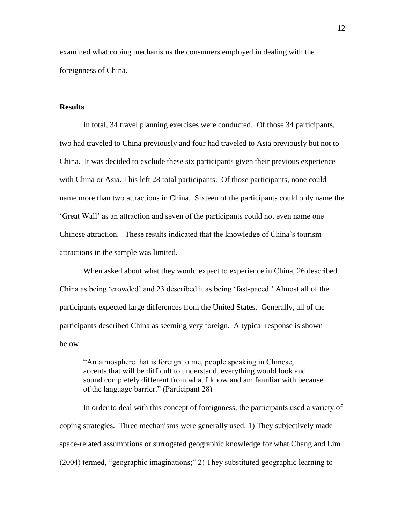examined what coping mechanisms the consumers employed in dealing with the foreignness of China.

## **Results**

In total, 34 travel planning exercises were conducted. Of those 34 participants, two had traveled to China previously and four had traveled to Asia previously but not to China. It was decided to exclude these six participants given their previous experience with China or Asia. This left 28 total participants. Of those participants, none could name more than two attractions in China. Sixteen of the participants could only name the "Great Wall" as an attraction and seven of the participants could not even name one Chinese attraction. These results indicated that the knowledge of China"s tourism attractions in the sample was limited.

When asked about what they would expect to experience in China, 26 described China as being "crowded" and 23 described it as being "fast-paced." Almost all of the participants expected large differences from the United States. Generally, all of the participants described China as seeming very foreign. A typical response is shown below:

"An atmosphere that is foreign to me, people speaking in Chinese, accents that will be difficult to understand, everything would look and sound completely different from what I know and am familiar with because of the language barrier." (Participant 28)

In order to deal with this concept of foreignness, the participants used a variety of coping strategies. Three mechanisms were generally used: 1) They subjectively made space-related assumptions or surrogated geographic knowledge for what Chang and Lim (2004) termed, "geographic imaginations;" 2) They substituted geographic learning to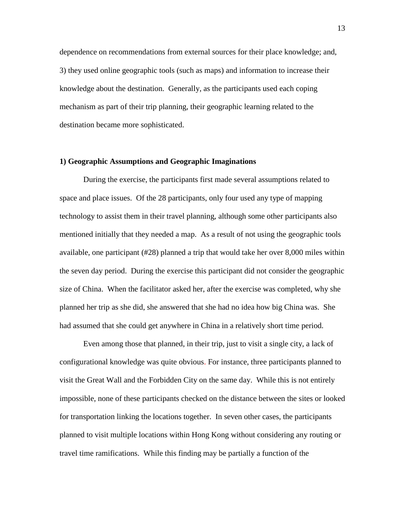dependence on recommendations from external sources for their place knowledge; and, 3) they used online geographic tools (such as maps) and information to increase their knowledge about the destination. Generally, as the participants used each coping mechanism as part of their trip planning, their geographic learning related to the destination became more sophisticated.

## **1) Geographic Assumptions and Geographic Imaginations**

During the exercise, the participants first made several assumptions related to space and place issues. Of the 28 participants, only four used any type of mapping technology to assist them in their travel planning, although some other participants also mentioned initially that they needed a map. As a result of not using the geographic tools available, one participant (#28) planned a trip that would take her over 8,000 miles within the seven day period. During the exercise this participant did not consider the geographic size of China. When the facilitator asked her, after the exercise was completed, why she planned her trip as she did, she answered that she had no idea how big China was. She had assumed that she could get anywhere in China in a relatively short time period.

Even among those that planned, in their trip, just to visit a single city, a lack of configurational knowledge was quite obvious. For instance, three participants planned to visit the Great Wall and the Forbidden City on the same day. While this is not entirely impossible, none of these participants checked on the distance between the sites or looked for transportation linking the locations together. In seven other cases, the participants planned to visit multiple locations within Hong Kong without considering any routing or travel time ramifications. While this finding may be partially a function of the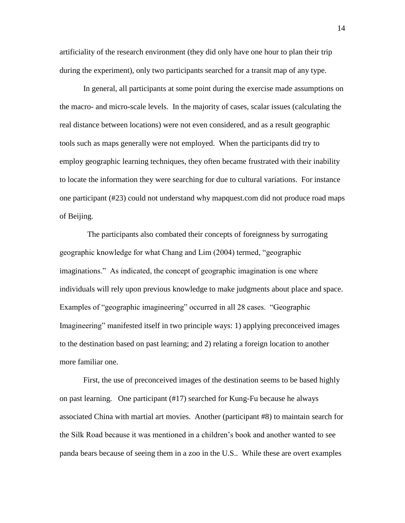artificiality of the research environment (they did only have one hour to plan their trip during the experiment), only two participants searched for a transit map of any type.

In general, all participants at some point during the exercise made assumptions on the macro- and micro-scale levels. In the majority of cases, scalar issues (calculating the real distance between locations) were not even considered, and as a result geographic tools such as maps generally were not employed. When the participants did try to employ geographic learning techniques, they often became frustrated with their inability to locate the information they were searching for due to cultural variations. For instance one participant (#23) could not understand why mapquest.com did not produce road maps of Beijing.

 The participants also combated their concepts of foreignness by surrogating geographic knowledge for what Chang and Lim (2004) termed, "geographic imaginations." As indicated, the concept of geographic imagination is one where individuals will rely upon previous knowledge to make judgments about place and space. Examples of "geographic imagineering" occurred in all 28 cases. "Geographic Imagineering" manifested itself in two principle ways: 1) applying preconceived images to the destination based on past learning; and 2) relating a foreign location to another more familiar one.

First, the use of preconceived images of the destination seems to be based highly on past learning. One participant (#17) searched for Kung-Fu because he always associated China with martial art movies. Another (participant #8) to maintain search for the Silk Road because it was mentioned in a children"s book and another wanted to see panda bears because of seeing them in a zoo in the U.S.. While these are overt examples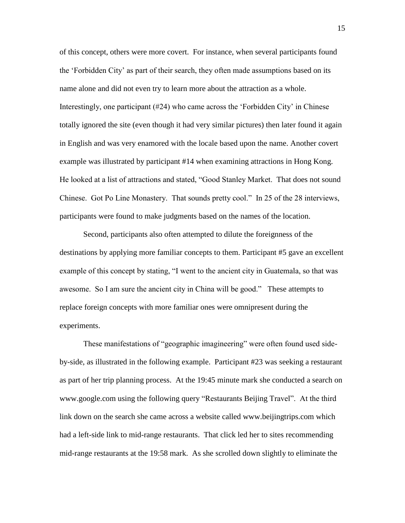of this concept, others were more covert. For instance, when several participants found the "Forbidden City" as part of their search, they often made assumptions based on its name alone and did not even try to learn more about the attraction as a whole. Interestingly, one participant (#24) who came across the "Forbidden City" in Chinese totally ignored the site (even though it had very similar pictures) then later found it again in English and was very enamored with the locale based upon the name. Another covert example was illustrated by participant #14 when examining attractions in Hong Kong. He looked at a list of attractions and stated, "Good Stanley Market. That does not sound Chinese. Got Po Line Monastery. That sounds pretty cool." In 25 of the 28 interviews, participants were found to make judgments based on the names of the location.

Second, participants also often attempted to dilute the foreignness of the destinations by applying more familiar concepts to them. Participant #5 gave an excellent example of this concept by stating, "I went to the ancient city in Guatemala, so that was awesome. So I am sure the ancient city in China will be good." These attempts to replace foreign concepts with more familiar ones were omnipresent during the experiments.

These manifestations of "geographic imagineering" were often found used sideby-side, as illustrated in the following example. Participant #23 was seeking a restaurant as part of her trip planning process. At the 19:45 minute mark she conducted a search on www.google.com using the following query "Restaurants Beijing Travel". At the third link down on the search she came across a website called www.beijingtrips.com which had a left-side link to mid-range restaurants. That click led her to sites recommending mid-range restaurants at the 19:58 mark. As she scrolled down slightly to eliminate the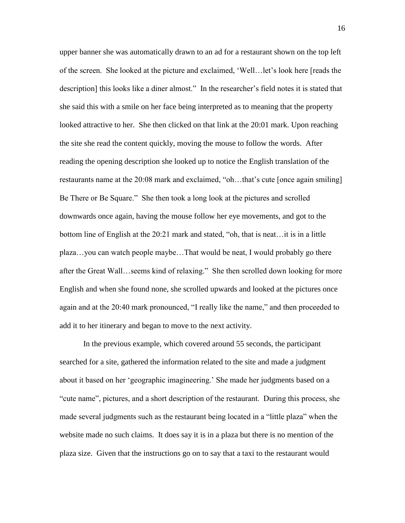upper banner she was automatically drawn to an ad for a restaurant shown on the top left of the screen. She looked at the picture and exclaimed, "Well…let"s look here [reads the description] this looks like a diner almost." In the researcher"s field notes it is stated that she said this with a smile on her face being interpreted as to meaning that the property looked attractive to her. She then clicked on that link at the 20:01 mark. Upon reaching the site she read the content quickly, moving the mouse to follow the words. After reading the opening description she looked up to notice the English translation of the restaurants name at the 20:08 mark and exclaimed, "oh…that"s cute [once again smiling] Be There or Be Square." She then took a long look at the pictures and scrolled downwards once again, having the mouse follow her eye movements, and got to the bottom line of English at the 20:21 mark and stated, "oh, that is neat…it is in a little plaza…you can watch people maybe…That would be neat, I would probably go there after the Great Wall…seems kind of relaxing." She then scrolled down looking for more English and when she found none, she scrolled upwards and looked at the pictures once again and at the 20:40 mark pronounced, "I really like the name," and then proceeded to add it to her itinerary and began to move to the next activity.

In the previous example, which covered around 55 seconds, the participant searched for a site, gathered the information related to the site and made a judgment about it based on her "geographic imagineering." She made her judgments based on a "cute name", pictures, and a short description of the restaurant. During this process, she made several judgments such as the restaurant being located in a "little plaza" when the website made no such claims. It does say it is in a plaza but there is no mention of the plaza size. Given that the instructions go on to say that a taxi to the restaurant would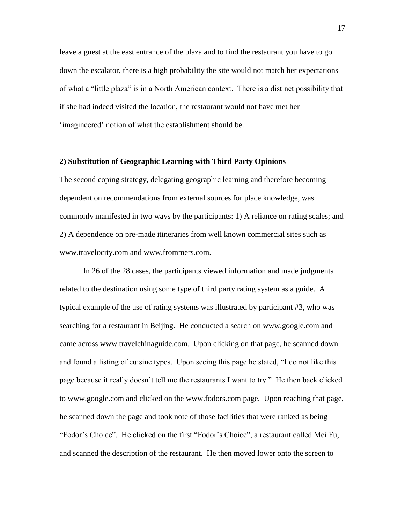leave a guest at the east entrance of the plaza and to find the restaurant you have to go down the escalator, there is a high probability the site would not match her expectations of what a "little plaza" is in a North American context. There is a distinct possibility that if she had indeed visited the location, the restaurant would not have met her "imagineered" notion of what the establishment should be.

## **2) Substitution of Geographic Learning with Third Party Opinions**

The second coping strategy, delegating geographic learning and therefore becoming dependent on recommendations from external sources for place knowledge, was commonly manifested in two ways by the participants: 1) A reliance on rating scales; and 2) A dependence on pre-made itineraries from well known commercial sites such as www.travelocity.com and www.frommers.com.

In 26 of the 28 cases, the participants viewed information and made judgments related to the destination using some type of third party rating system as a guide. A typical example of the use of rating systems was illustrated by participant #3, who was searching for a restaurant in Beijing. He conducted a search on www.google.com and came across www.travelchinaguide.com. Upon clicking on that page, he scanned down and found a listing of cuisine types. Upon seeing this page he stated, "I do not like this page because it really doesn"t tell me the restaurants I want to try." He then back clicked to www.google.com and clicked on the www.fodors.com page. Upon reaching that page, he scanned down the page and took note of those facilities that were ranked as being "Fodor"s Choice". He clicked on the first "Fodor"s Choice", a restaurant called Mei Fu, and scanned the description of the restaurant. He then moved lower onto the screen to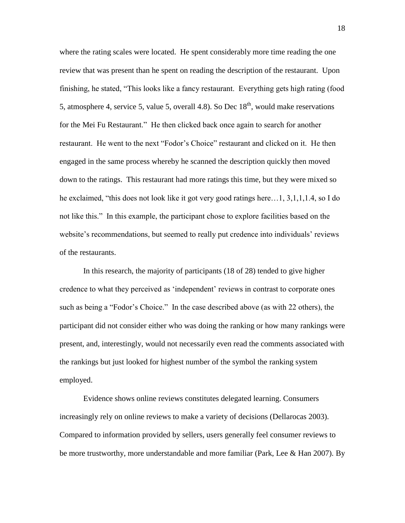where the rating scales were located. He spent considerably more time reading the one review that was present than he spent on reading the description of the restaurant. Upon finishing, he stated, "This looks like a fancy restaurant. Everything gets high rating (food 5, atmosphere 4, service 5, value 5, overall 4.8). So Dec  $18<sup>th</sup>$ , would make reservations for the Mei Fu Restaurant." He then clicked back once again to search for another restaurant. He went to the next "Fodor"s Choice" restaurant and clicked on it. He then engaged in the same process whereby he scanned the description quickly then moved down to the ratings. This restaurant had more ratings this time, but they were mixed so he exclaimed, "this does not look like it got very good ratings here…1, 3,1,1,1.4, so I do not like this." In this example, the participant chose to explore facilities based on the website's recommendations, but seemed to really put credence into individuals' reviews of the restaurants.

In this research, the majority of participants (18 of 28) tended to give higher credence to what they perceived as "independent" reviews in contrast to corporate ones such as being a "Fodor's Choice." In the case described above (as with 22 others), the participant did not consider either who was doing the ranking or how many rankings were present, and, interestingly, would not necessarily even read the comments associated with the rankings but just looked for highest number of the symbol the ranking system employed.

Evidence shows online reviews constitutes delegated learning. Consumers increasingly rely on online reviews to make a variety of decisions (Dellarocas 2003). Compared to information provided by sellers, users generally feel consumer reviews to be more trustworthy, more understandable and more familiar (Park, Lee & Han 2007). By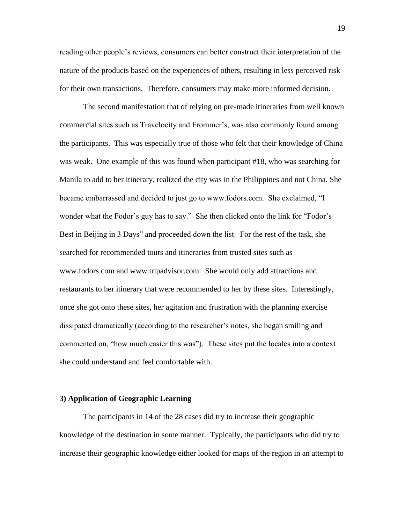reading other people"s reviews, consumers can better construct their interpretation of the nature of the products based on the experiences of others, resulting in less perceived risk for their own transactions. Therefore, consumers may make more informed decision.

The second manifestation that of relying on pre-made itineraries from well known commercial sites such as Travelocity and Frommer"s, was also commonly found among the participants. This was especially true of those who felt that their knowledge of China was weak. One example of this was found when participant #18, who was searching for Manila to add to her itinerary, realized the city was in the Philippines and not China. She became embarrassed and decided to just go to www.fodors.com. She exclaimed, "I wonder what the Fodor's guy has to say." She then clicked onto the link for "Fodor's Best in Beijing in 3 Days" and proceeded down the list. For the rest of the task, she searched for recommended tours and itineraries from trusted sites such as www.fodors.com and www.tripadvisor.com. She would only add attractions and restaurants to her itinerary that were recommended to her by these sites. Interestingly, once she got onto these sites, her agitation and frustration with the planning exercise dissipated dramatically (according to the researcher"s notes, she began smiling and commented on, "how much easier this was"). These sites put the locales into a context she could understand and feel comfortable with.

#### **3) Application of Geographic Learning**

The participants in 14 of the 28 cases did try to increase their geographic knowledge of the destination in some manner. Typically, the participants who did try to increase their geographic knowledge either looked for maps of the region in an attempt to

19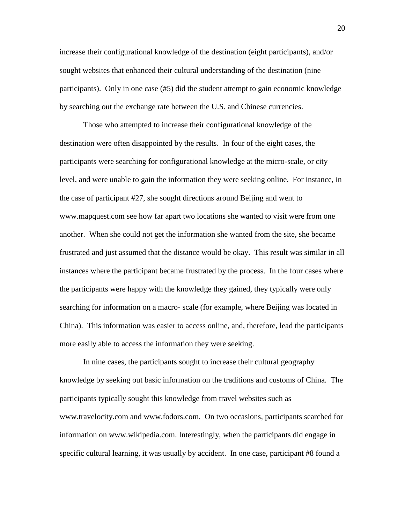increase their configurational knowledge of the destination (eight participants), and/or sought websites that enhanced their cultural understanding of the destination (nine participants). Only in one case (#5) did the student attempt to gain economic knowledge by searching out the exchange rate between the U.S. and Chinese currencies.

Those who attempted to increase their configurational knowledge of the destination were often disappointed by the results. In four of the eight cases, the participants were searching for configurational knowledge at the micro-scale, or city level, and were unable to gain the information they were seeking online. For instance, in the case of participant #27, she sought directions around Beijing and went to www.mapquest.com see how far apart two locations she wanted to visit were from one another. When she could not get the information she wanted from the site, she became frustrated and just assumed that the distance would be okay. This result was similar in all instances where the participant became frustrated by the process. In the four cases where the participants were happy with the knowledge they gained, they typically were only searching for information on a macro- scale (for example, where Beijing was located in China). This information was easier to access online, and, therefore, lead the participants more easily able to access the information they were seeking.

In nine cases, the participants sought to increase their cultural geography knowledge by seeking out basic information on the traditions and customs of China. The participants typically sought this knowledge from travel websites such as www.travelocity.com and www.fodors.com. On two occasions, participants searched for information on www.wikipedia.com. Interestingly, when the participants did engage in specific cultural learning, it was usually by accident. In one case, participant #8 found a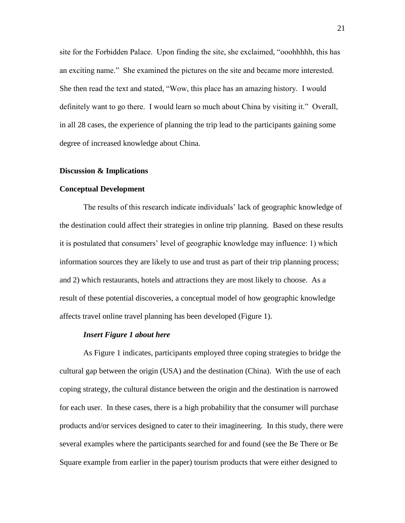site for the Forbidden Palace. Upon finding the site, she exclaimed, "ooohhhhh, this has an exciting name." She examined the pictures on the site and became more interested. She then read the text and stated, "Wow, this place has an amazing history. I would definitely want to go there. I would learn so much about China by visiting it." Overall, in all 28 cases, the experience of planning the trip lead to the participants gaining some degree of increased knowledge about China.

#### **Discussion & Implications**

## **Conceptual Development**

The results of this research indicate individuals" lack of geographic knowledge of the destination could affect their strategies in online trip planning. Based on these results it is postulated that consumers' level of geographic knowledge may influence: 1) which information sources they are likely to use and trust as part of their trip planning process; and 2) which restaurants, hotels and attractions they are most likely to choose. As a result of these potential discoveries, a conceptual model of how geographic knowledge affects travel online travel planning has been developed (Figure 1).

#### *Insert Figure 1 about here*

As Figure 1 indicates, participants employed three coping strategies to bridge the cultural gap between the origin (USA) and the destination (China). With the use of each coping strategy, the cultural distance between the origin and the destination is narrowed for each user. In these cases, there is a high probability that the consumer will purchase products and/or services designed to cater to their imagineering. In this study, there were several examples where the participants searched for and found (see the Be There or Be Square example from earlier in the paper) tourism products that were either designed to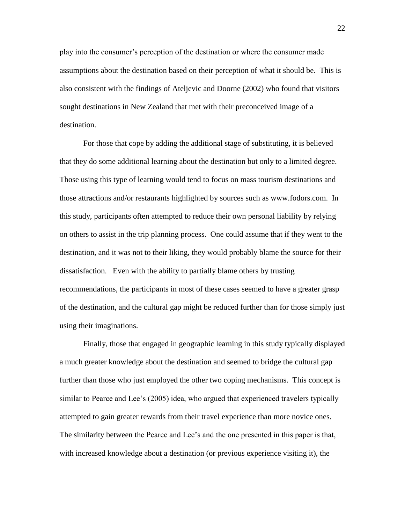play into the consumer"s perception of the destination or where the consumer made assumptions about the destination based on their perception of what it should be. This is also consistent with the findings of Ateljevic and Doorne (2002) who found that visitors sought destinations in New Zealand that met with their preconceived image of a destination.

For those that cope by adding the additional stage of substituting, it is believed that they do some additional learning about the destination but only to a limited degree. Those using this type of learning would tend to focus on mass tourism destinations and those attractions and/or restaurants highlighted by sources such as www.fodors.com. In this study, participants often attempted to reduce their own personal liability by relying on others to assist in the trip planning process. One could assume that if they went to the destination, and it was not to their liking, they would probably blame the source for their dissatisfaction. Even with the ability to partially blame others by trusting recommendations, the participants in most of these cases seemed to have a greater grasp of the destination, and the cultural gap might be reduced further than for those simply just using their imaginations.

Finally, those that engaged in geographic learning in this study typically displayed a much greater knowledge about the destination and seemed to bridge the cultural gap further than those who just employed the other two coping mechanisms. This concept is similar to Pearce and Lee's (2005) idea, who argued that experienced travelers typically attempted to gain greater rewards from their travel experience than more novice ones. The similarity between the Pearce and Lee"s and the one presented in this paper is that, with increased knowledge about a destination (or previous experience visiting it), the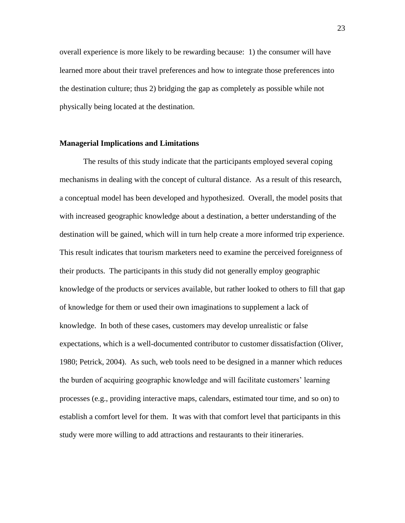overall experience is more likely to be rewarding because: 1) the consumer will have learned more about their travel preferences and how to integrate those preferences into the destination culture; thus 2) bridging the gap as completely as possible while not physically being located at the destination.

## **Managerial Implications and Limitations**

The results of this study indicate that the participants employed several coping mechanisms in dealing with the concept of cultural distance. As a result of this research, a conceptual model has been developed and hypothesized. Overall, the model posits that with increased geographic knowledge about a destination, a better understanding of the destination will be gained, which will in turn help create a more informed trip experience. This result indicates that tourism marketers need to examine the perceived foreignness of their products. The participants in this study did not generally employ geographic knowledge of the products or services available, but rather looked to others to fill that gap of knowledge for them or used their own imaginations to supplement a lack of knowledge. In both of these cases, customers may develop unrealistic or false expectations, which is a well-documented contributor to customer dissatisfaction (Oliver, 1980; Petrick, 2004). As such, web tools need to be designed in a manner which reduces the burden of acquiring geographic knowledge and will facilitate customers" learning processes (e.g., providing interactive maps, calendars, estimated tour time, and so on) to establish a comfort level for them. It was with that comfort level that participants in this study were more willing to add attractions and restaurants to their itineraries.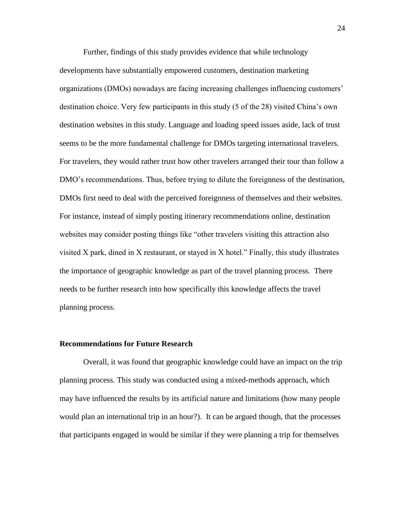Further, findings of this study provides evidence that while technology developments have substantially empowered customers, destination marketing organizations (DMOs) nowadays are facing increasing challenges influencing customers" destination choice. Very few participants in this study (5 of the 28) visited China"s own destination websites in this study. Language and loading speed issues aside, lack of trust seems to be the more fundamental challenge for DMOs targeting international travelers. For travelers, they would rather trust how other travelers arranged their tour than follow a DMO"s recommendations. Thus, before trying to dilute the foreignness of the destination, DMOs first need to deal with the perceived foreignness of themselves and their websites. For instance, instead of simply posting itinerary recommendations online, destination websites may consider posting things like "other travelers visiting this attraction also visited X park, dined in X restaurant, or stayed in X hotel." Finally, this study illustrates the importance of geographic knowledge as part of the travel planning process. There needs to be further research into how specifically this knowledge affects the travel planning process.

#### **Recommendations for Future Research**

Overall, it was found that geographic knowledge could have an impact on the trip planning process. This study was conducted using a mixed-methods approach, which may have influenced the results by its artificial nature and limitations (how many people would plan an international trip in an hour?). It can be argued though, that the processes that participants engaged in would be similar if they were planning a trip for themselves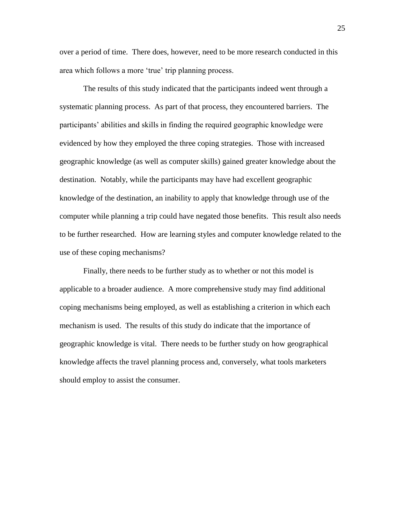over a period of time. There does, however, need to be more research conducted in this area which follows a more 'true' trip planning process.

The results of this study indicated that the participants indeed went through a systematic planning process. As part of that process, they encountered barriers. The participants" abilities and skills in finding the required geographic knowledge were evidenced by how they employed the three coping strategies. Those with increased geographic knowledge (as well as computer skills) gained greater knowledge about the destination. Notably, while the participants may have had excellent geographic knowledge of the destination, an inability to apply that knowledge through use of the computer while planning a trip could have negated those benefits. This result also needs to be further researched. How are learning styles and computer knowledge related to the use of these coping mechanisms?

Finally, there needs to be further study as to whether or not this model is applicable to a broader audience. A more comprehensive study may find additional coping mechanisms being employed, as well as establishing a criterion in which each mechanism is used. The results of this study do indicate that the importance of geographic knowledge is vital. There needs to be further study on how geographical knowledge affects the travel planning process and, conversely, what tools marketers should employ to assist the consumer.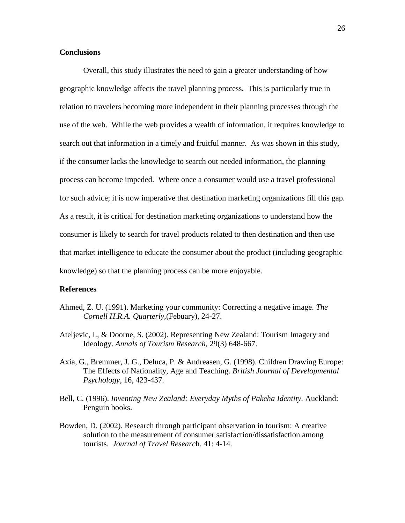## **Conclusions**

Overall, this study illustrates the need to gain a greater understanding of how geographic knowledge affects the travel planning process. This is particularly true in relation to travelers becoming more independent in their planning processes through the use of the web. While the web provides a wealth of information, it requires knowledge to search out that information in a timely and fruitful manner. As was shown in this study, if the consumer lacks the knowledge to search out needed information, the planning process can become impeded. Where once a consumer would use a travel professional for such advice; it is now imperative that destination marketing organizations fill this gap. As a result, it is critical for destination marketing organizations to understand how the consumer is likely to search for travel products related to then destination and then use that market intelligence to educate the consumer about the product (including geographic knowledge) so that the planning process can be more enjoyable.

## **References**

- Ahmed, Z. U. (1991). Marketing your community: Correcting a negative image. *The Cornell H.R.A. Quarterly,*(Febuary), 24-27.
- Ateljevic, I., & Doorne, S. (2002). Representing New Zealand: Tourism Imagery and Ideology. *Annals of Tourism Research,* 29(3) 648-667.
- Axia, G., Bremmer, J. G., Deluca, P. & Andreasen, G. (1998). Children Drawing Europe: The Effects of Nationality, Age and Teaching. *British Journal of Developmental Psychology,* 16, 423-437.
- Bell, C. (1996). *Inventing New Zealand: Everyday Myths of Pakeha Identity*. Auckland: Penguin books.
- Bowden, D. (2002). Research through participant observation in tourism: A creative solution to the measurement of consumer satisfaction/dissatisfaction among tourists. *Journal of Travel Researc*h. 41: 4-14.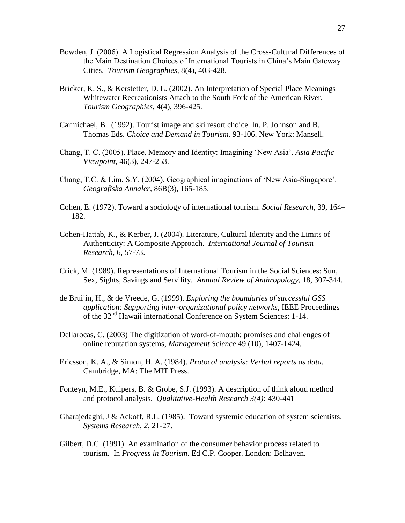- Bowden, J. (2006). A Logistical Regression Analysis of the Cross-Cultural Differences of the Main Destination Choices of International Tourists in China"s Main Gateway Cities. *Tourism Geographies,* 8(4), 403-428.
- Bricker, K. S., & Kerstetter, D. L. (2002). An Interpretation of Special Place Meanings Whitewater Recreationists Attach to the South Fork of the American River. *Tourism Geographies,* 4(4), 396-425.
- Carmichael, B. (1992). Tourist image and ski resort choice. In. P. Johnson and B. Thomas Eds. *Choice and Demand in Tourism.* 93-106. New York: Mansell.
- Chang, T. C. (2005). Place, Memory and Identity: Imagining "New Asia". *Asia Pacific Viewpoint,* 46(3), 247-253.
- Chang, T.C. & Lim, S.Y. (2004). Geographical imaginations of "New Asia-Singapore". *Geografiska Annaler,* 86B(3), 165-185.
- Cohen, E. (1972). Toward a sociology of international tourism. *Social Research,* 39, 164– 182.
- Cohen-Hattab, K., & Kerber, J. (2004). Literature, Cultural Identity and the Limits of Authenticity: A Composite Approach. *International Journal of Tourism Research,* 6, 57-73.
- Crick, M. (1989). Representations of International Tourism in the Social Sciences: Sun, Sex, Sights, Savings and Servility. *Annual Review of Anthropology,* 18, 307-344.
- de Bruijin, H., & de Vreede, G. (1999). *Exploring the boundaries of successful GSS application: Supporting inter-organizational policy networks*, IEEE Proceedings of the 32nd Hawaii international Conference on System Sciences: 1-14.
- Dellarocas, C. (2003) The digitization of word-of-mouth: promises and challenges of online reputation systems, *Management Science* 49 (10), 1407-1424.
- Ericsson, K. A., & Simon, H. A. (1984). *Protocol analysis: Verbal reports as data.*  Cambridge, MA: The MIT Press.
- Fonteyn, M.E., Kuipers, B. & Grobe, S.J. (1993). A description of think aloud method and protocol analysis. *Qualitative-Health Research 3(4):* 430-441
- Gharajedaghi, J & Ackoff, R.L. (1985). Toward systemic education of system scientists. *Systems Research, 2*, 21-27.
- Gilbert, D.C. (1991). An examination of the consumer behavior process related to tourism. In *Progress in Tourism*. Ed C.P. Cooper. London: Belhaven.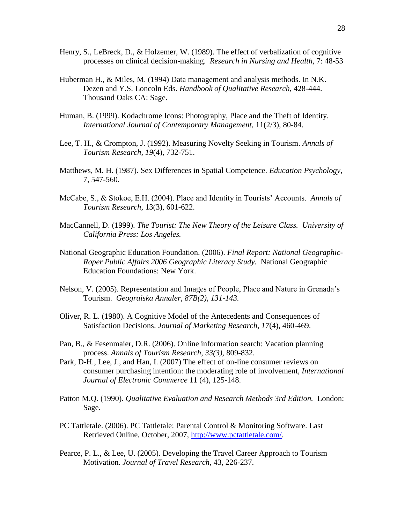- Henry, S., LeBreck, D., & Holzemer, W. (1989). The effect of verbalization of cognitive processes on clinical decision-making. *Research in Nursing and Health,* 7: 48-53
- Huberman H., & Miles, M. (1994) Data management and analysis methods. In N.K. Dezen and Y.S. Loncoln Eds. *Handbook of Qualitative Research*, 428-444. Thousand Oaks CA: Sage.
- Human, B. (1999). Kodachrome Icons: Photography, Place and the Theft of Identity. *International Journal of Contemporary Management,* 11(2/3), 80-84.
- Lee, T. H., & Crompton, J. (1992). Measuring Novelty Seeking in Tourism. *Annals of Tourism Research, 19*(4), 732-751.
- Matthews, M. H. (1987). Sex Differences in Spatial Competence. *Education Psychology,*  7, 547-560.
- McCabe, S., & Stokoe, E.H. (2004). Place and Identity in Tourists" Accounts. *Annals of Tourism Research,* 13(3), 601-622.
- MacCannell, D. (1999). *The Tourist: The New Theory of the Leisure Class. University of California Press: Los Angeles.*
- National Geographic Education Foundation. (2006). *Final Report: National Geographic-Roper Public Affairs 2006 Geographic Literacy Study.* National Geographic Education Foundations: New York.
- Nelson, V. (2005). Representation and Images of People, Place and Nature in Grenada"s Tourism. *Geograiska Annaler, 87B(2), 131-143.*
- Oliver, R. L. (1980). A Cognitive Model of the Antecedents and Consequences of Satisfaction Decisions. *Journal of Marketing Research, 17*(4), 460-469.
- Pan, B., & Fesenmaier, D.R. (2006). Online information search: Vacation planning process. *Annals of Tourism Research, 33(3),* 809-832.
- Park, D-H., Lee, J., and Han, I. (2007) The effect of on-line consumer reviews on consumer purchasing intention: the moderating role of involvement, *International Journal of Electronic Commerce* 11 (4), 125-148.
- Patton M.Q. (1990). *Qualitative Evaluation and Research Methods 3rd Edition.* London: Sage.
- PC Tattletale. (2006). PC Tattletale: Parental Control & Monitoring Software. Last Retrieved Online, October, 2007, [http://www.pctattletale.com/.](http://www.pctattletale.com/)
- Pearce, P. L., & Lee, U. (2005). Developing the Travel Career Approach to Tourism Motivation. *Journal of Travel Research,* 43, 226-237.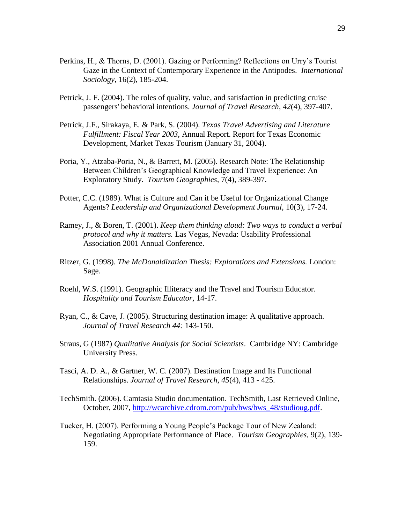- Perkins, H., & Thorns, D. (2001). Gazing or Performing? Reflections on Urry"s Tourist Gaze in the Context of Contemporary Experience in the Antipodes. *International Sociology,* 16(2), 185-204.
- Petrick, J. F. (2004). The roles of quality, value, and satisfaction in predicting cruise passengers' behavioral intentions. *Journal of Travel Research, 42*(4), 397-407.
- Petrick, J.F., Sirakaya, E. & Park, S. (2004). *Texas Travel Advertising and Literature Fulfillment: Fiscal Year 2003,* Annual Report. Report for Texas Economic Development, Market Texas Tourism (January 31, 2004).
- Poria, Y., Atzaba-Poria, N., & Barrett, M. (2005). Research Note: The Relationship Between Children"s Geographical Knowledge and Travel Experience: An Exploratory Study. *Tourism Geographies,* 7(4), 389-397.
- Potter, C.C. (1989). What is Culture and Can it be Useful for Organizational Change Agents? *Leadership and Organizational Development Journal,* 10(3), 17-24.
- Ramey, J., & Boren, T. (2001). *Keep them thinking aloud: Two ways to conduct a verbal protocol and why it matters.* Las Vegas, Nevada: Usability Professional Association 2001 Annual Conference.
- Ritzer, G. (1998). *The McDonaldization Thesis: Explorations and Extensions.* London: Sage.
- Roehl, W.S. (1991). Geographic Illiteracy and the Travel and Tourism Educator. *Hospitality and Tourism Educator,* 14-17.
- Ryan, C., & Cave, J. (2005). Structuring destination image: A qualitative approach. *Journal of Travel Research 44:* 143-150.
- Straus, G (1987) *Qualitative Analysis for Social Scientists*. Cambridge NY: Cambridge University Press.
- Tasci, A. D. A., & Gartner, W. C. (2007). Destination Image and Its Functional Relationships. *Journal of Travel Research, 45*(4), 413 - 425.
- TechSmith. (2006). Camtasia Studio documentation. TechSmith, Last Retrieved Online, October, 2007, [http://wcarchive.cdrom.com/pub/bws/bws\\_48/studioug.pdf.](http://wcarchive.cdrom.com/pub/bws/bws_48/studioug.pdf)
- Tucker, H. (2007). Performing a Young People"s Package Tour of New Zealand: Negotiating Appropriate Performance of Place. *Tourism Geographies,* 9(2), 139- 159.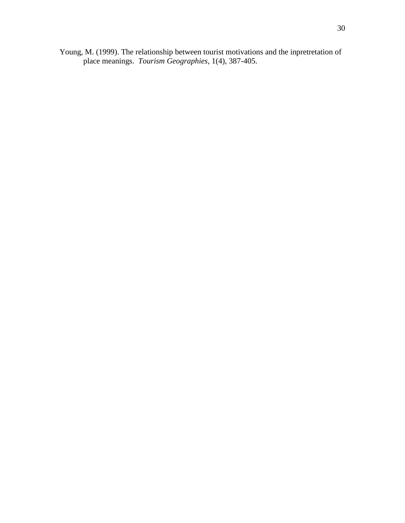Young, M. (1999). The relationship between tourist motivations and the inpretretation of place meanings. *Tourism Geographies,* 1(4), 387-405.